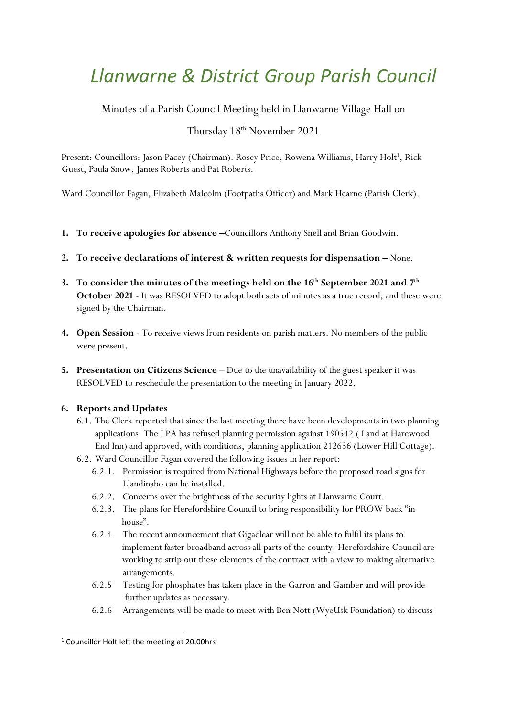# *Llanwarne & District Group Parish Council*

Minutes of a Parish Council Meeting held in Llanwarne Village Hall on

## Thursday 18 th November 2021

Present: Councillors: Jason Pacey (Chairman). Rosey Price, Rowena Williams, Harry Holt<sup>1</sup>, Rick Guest, Paula Snow, James Roberts and Pat Roberts.

Ward Councillor Fagan, Elizabeth Malcolm (Footpaths Officer) and Mark Hearne (Parish Clerk).

- **1. To receive apologies for absence –**Councillors Anthony Snell and Brian Goodwin.
- **2. To receive declarations of interest & written requests for dispensation –** None.
- **3. To consider the minutes of the meetings held on the 16th September 2021 and 7th October 2021** - It was RESOLVED to adopt both sets of minutes as a true record, and these were signed by the Chairman.
- **4. Open Session** To receive views from residents on parish matters. No members of the public were present.
- **5.** Presentation on Citizens Science Due to the unavailability of the guest speaker it was RESOLVED to reschedule the presentation to the meeting in January 2022.

### **6. Reports and Updates**

- 6.1. The Clerk reported that since the last meeting there have been developments in two planning applications. The LPA has refused planning permission against 190542 ( Land at Harewood End Inn) and approved, with conditions, planning application 212636 (Lower Hill Cottage).
- 6.2. Ward Councillor Fagan covered the following issues in her report:
	- 6.2.1. Permission is required from National Highways before the proposed road signs for Llandinabo can be installed.
	- 6.2.2. Concerns over the brightness of the security lights at Llanwarne Court.
	- 6.2.3. The plans for Herefordshire Council to bring responsibility for PROW back "in house".
	- 6.2.4 The recent announcement that Gigaclear will not be able to fulfil its plans to implement faster broadband across all parts of the county. Herefordshire Council are working to strip out these elements of the contract with a view to making alternative arrangements.
	- 6.2.5 Testing for phosphates has taken place in the Garron and Gamber and will provide further updates as necessary.
	- 6.2.6 Arrangements will be made to meet with Ben Nott (WyeUsk Foundation) to discuss

<sup>1</sup> Councillor Holt left the meeting at 20.00hrs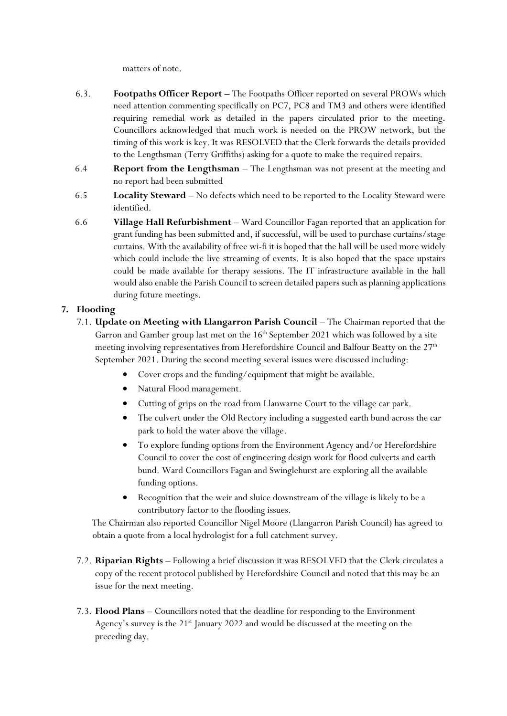matters of note.

- 6.3. **Footpaths Officer Report –** The Footpaths Officer reported on several PROWs which need attention commenting specifically on PC7, PC8 and TM3 and others were identified requiring remedial work as detailed in the papers circulated prior to the meeting. Councillors acknowledged that much work is needed on the PROW network, but the timing of this work is key. It was RESOLVED that the Clerk forwards the details provided to the Lengthsman (Terry Griffiths) asking for a quote to make the required repairs.
- 6.4 **Report from the Lengthsman** The Lengthsman was not present at the meeting and no report had been submitted
- 6.5 **Locality Steward** No defects which need to be reported to the Locality Steward were identified.
- 6.6 **Village Hall Refurbishment** Ward Councillor Fagan reported that an application for grant funding has been submitted and, if successful, will be used to purchase curtains/stage curtains. With the availability of free wi-fi it is hoped that the hall will be used more widely which could include the live streaming of events. It is also hoped that the space upstairs could be made available for therapy sessions. The IT infrastructure available in the hall would also enable the Parish Council to screen detailed papers such as planning applications during future meetings.

#### **7. Flooding**

- 7.1. **Update on Meeting with Llangarron Parish Council** The Chairman reported that the Garron and Gamber group last met on the  $16<sup>th</sup>$  September 2021 which was followed by a site meeting involving representatives from Herefordshire Council and Balfour Beatty on the  $27<sup>th</sup>$ September 2021. During the second meeting several issues were discussed including:
	- Cover crops and the funding/equipment that might be available.
	- Natural Flood management.
	- Cutting of grips on the road from Llanwarne Court to the village car park.
	- The culvert under the Old Rectory including a suggested earth bund across the car park to hold the water above the village.
	- To explore funding options from the Environment Agency and/or Herefordshire Council to cover the cost of engineering design work for flood culverts and earth bund. Ward Councillors Fagan and Swinglehurst are exploring all the available funding options.
	- Recognition that the weir and sluice downstream of the village is likely to be a contributory factor to the flooding issues.

The Chairman also reported Councillor Nigel Moore (Llangarron Parish Council) has agreed to obtain a quote from a local hydrologist for a full catchment survey.

- 7.2. **Riparian Rights –** Following a brief discussion it was RESOLVED that the Clerk circulates a copy of the recent protocol published by Herefordshire Council and noted that this may be an issue for the next meeting.
- 7.3. **Flood Plans** Councillors noted that the deadline for responding to the Environment Agency's survey is the 21<sup>st</sup> January 2022 and would be discussed at the meeting on the preceding day.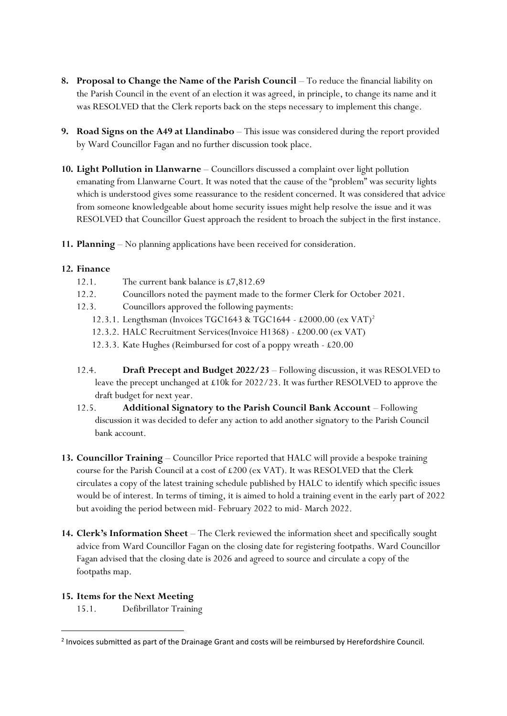- **8. Proposal to Change the Name of the Parish Council** To reduce the financial liability on the Parish Council in the event of an election it was agreed, in principle, to change its name and it was RESOLVED that the Clerk reports back on the steps necessary to implement this change.
- **9. Road Signs on the A49 at Llandinabo** This issue was considered during the report provided by Ward Councillor Fagan and no further discussion took place.
- **10. Light Pollution in Llanwarne** Councillors discussed a complaint over light pollution emanating from Llanwarne Court. It was noted that the cause of the "problem" was security lights which is understood gives some reassurance to the resident concerned. It was considered that advice from someone knowledgeable about home security issues might help resolve the issue and it was RESOLVED that Councillor Guest approach the resident to broach the subject in the first instance.
- **11. Planning** No planning applications have been received for consideration.

#### **12. Finance**

- 12.1. The current bank balance is £7,812.69
- 12.2. Councillors noted the payment made to the former Clerk for October 2021.
- 12.3. Councillors approved the following payments:
	- 12.3.1. Lengthsman (Invoices TGC1643 & TGC1644 £2000.00 (ex VAT)<sup>2</sup>
	- 12.3.2. HALC Recruitment Services(Invoice H1368) £200.00 (ex VAT)
	- 12.3.3. Kate Hughes (Reimbursed for cost of a poppy wreath £20.00
- 12.4. **Draft Precept and Budget 2022/23** Following discussion, it was RESOLVED to leave the precept unchanged at £10k for 2022/23. It was further RESOLVED to approve the draft budget for next year.
- 12.5. **Additional Signatory to the Parish Council Bank Account** Following discussion it was decided to defer any action to add another signatory to the Parish Council bank account.
- **13. Councillor Training** Councillor Price reported that HALC will provide a bespoke training course for the Parish Council at a cost of  $£200$  (ex VAT). It was RESOLVED that the Clerk circulates a copy of the latest training schedule published by HALC to identify which specific issues would be of interest. In terms of timing, it is aimed to hold a training event in the early part of 2022 but avoiding the period between mid- February 2022 to mid- March 2022.
- **14. Clerk's Information Sheet** The Clerk reviewed the information sheet and specifically sought advice from Ward Councillor Fagan on the closing date for registering footpaths. Ward Councillor Fagan advised that the closing date is 2026 and agreed to source and circulate a copy of the footpaths map.

#### **15. Items for the Next Meeting**

15.1. Defibrillator Training

<sup>&</sup>lt;sup>2</sup> Invoices submitted as part of the Drainage Grant and costs will be reimbursed by Herefordshire Council.